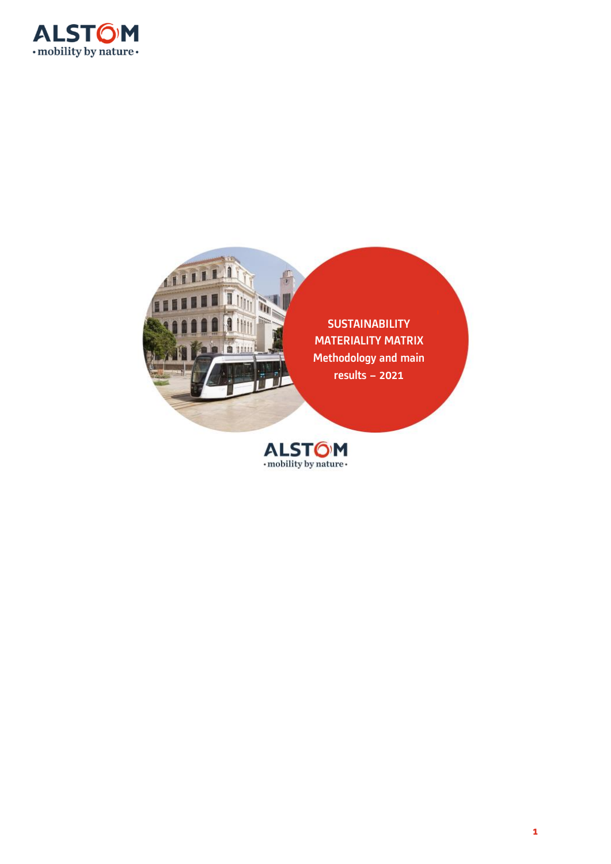



**SUSTAINABILITY** MATERIALITY MATRIX Methodology and main results – 2021

ALSTOM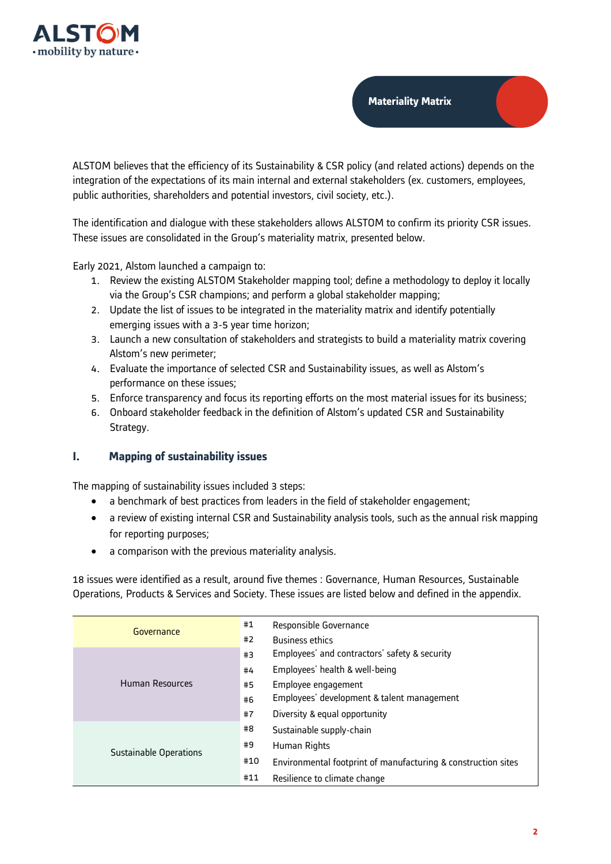

**Materiality Matrix**

ALSTOM believes that the efficiency of its Sustainability & CSR policy (and related actions) depends on the integration of the expectations of its main internal and external stakeholders (ex. customers, employees, public authorities, shareholders and potential investors, civil society, etc.).

The identification and dialogue with these stakeholders allows ALSTOM to confirm its priority CSR issues. These issues are consolidated in the Group's materiality matrix, presented below.

Early 2021, Alstom launched a campaign to:

- 1. Review the existing ALSTOM Stakeholder mapping tool; define a methodology to deploy it locally via the Group's CSR champions; and perform a global stakeholder mapping;
- 2. Update the list of issues to be integrated in the materiality matrix and identify potentially emerging issues with a 3-5 year time horizon;
- 3. Launch a new consultation of stakeholders and strategists to build a materiality matrix covering Alstom's new perimeter;
- 4. Evaluate the importance of selected CSR and Sustainability issues, as well as Alstom's performance on these issues;
- 5. Enforce transparency and focus its reporting efforts on the most material issues for its business;
- 6. Onboard stakeholder feedback in the definition of Alstom's updated CSR and Sustainability Strategy.

# **I. Mapping of sustainability issues**

The mapping of sustainability issues included 3 steps:

- a benchmark of best practices from leaders in the field of stakeholder engagement;
- a review of existing internal CSR and Sustainability analysis tools, such as the annual risk mapping for reporting purposes;
- a comparison with the previous materiality analysis.

18 issues were identified as a result, around five themes : Governance, Human Resources, Sustainable Operations, Products & Services and Society. These issues are listed below and defined in the appendix.

| Governance                    | #1  | Responsible Governance                                        |
|-------------------------------|-----|---------------------------------------------------------------|
|                               | #2  | <b>Business ethics</b>                                        |
|                               | #3  | Employees' and contractors' safety & security                 |
|                               | #4  | Employees' health & well-being                                |
| <b>Human Resources</b>        | #5  | Employee engagement                                           |
|                               | #6  | Employees' development & talent management                    |
|                               | #7  | Diversity & equal opportunity                                 |
|                               | #8  | Sustainable supply-chain                                      |
| <b>Sustainable Operations</b> | #9  | Human Rights                                                  |
|                               | #10 | Environmental footprint of manufacturing & construction sites |
|                               | #11 | Resilience to climate change                                  |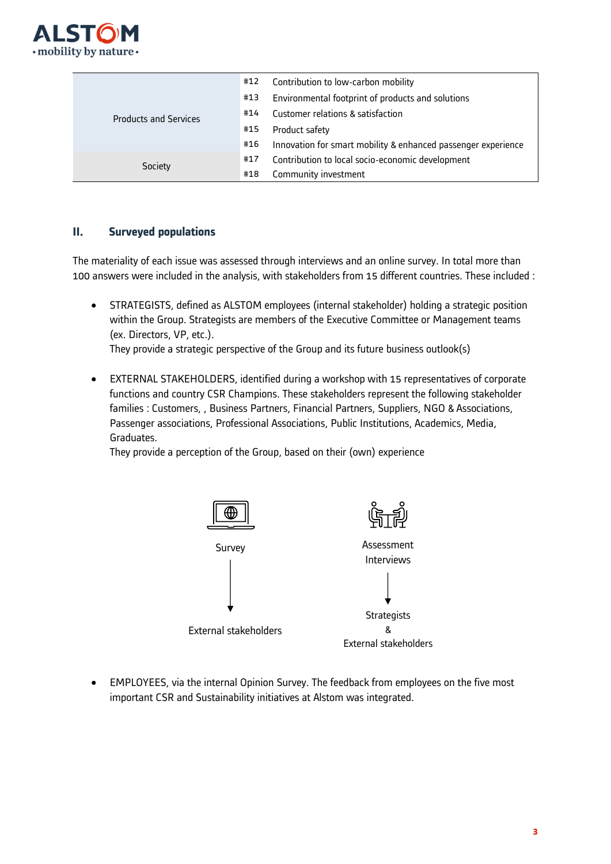

|                              | #12 | Contribution to low-carbon mobility                           |
|------------------------------|-----|---------------------------------------------------------------|
|                              | #13 | Environmental footprint of products and solutions             |
| <b>Products and Services</b> | #14 | Customer relations & satisfaction                             |
|                              | #15 | Product safety                                                |
|                              | #16 | Innovation for smart mobility & enhanced passenger experience |
| Society                      | #17 | Contribution to local socio-economic development              |
|                              | #18 | Community investment                                          |

# **II. Surveyed populations**

The materiality of each issue was assessed through interviews and an online survey. In total more than 100 answers were included in the analysis, with stakeholders from 15 different countries. These included :

• STRATEGISTS, defined as ALSTOM employees (internal stakeholder) holding a strategic position within the Group. Strategists are members of the Executive Committee or Management teams (ex. Directors, VP, etc.).

They provide a strategic perspective of the Group and its future business outlook(s)

• EXTERNAL STAKEHOLDERS, identified during a workshop with 15 representatives of corporate functions and country CSR Champions. These stakeholders represent the following stakeholder families : Customers, , Business Partners, Financial Partners, Suppliers, NGO & Associations, Passenger associations, Professional Associations, Public Institutions, Academics, Media, Graduates.

They provide a perception of the Group, based on their (own) experience



• EMPLOYEES, via the internal Opinion Survey. The feedback from employees on the five most important CSR and Sustainability initiatives at Alstom was integrated.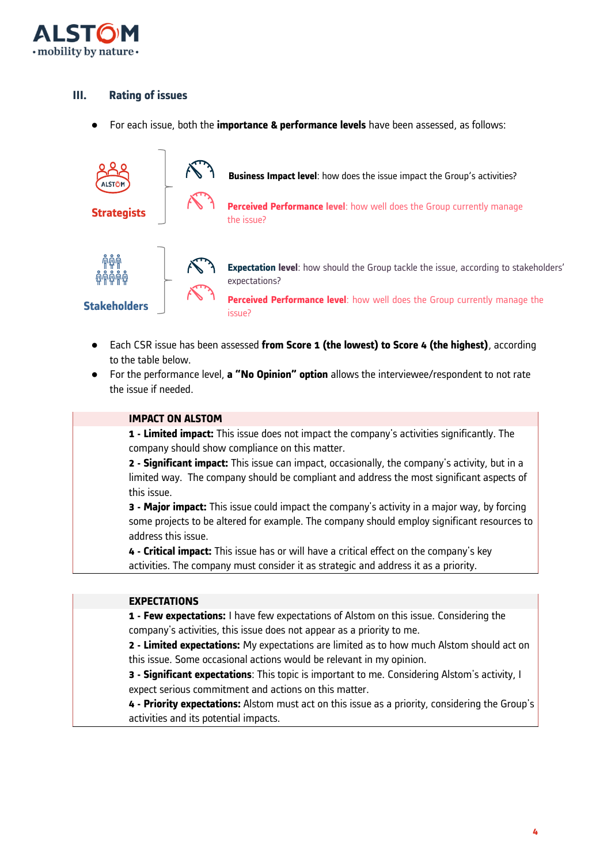

# **III. Rating of issues**

● For each issue, both the **importance & performance levels** have been assessed, as follows:



- Each CSR issue has been assessed **from Score 1 (the lowest) to Score 4 (the highest)**, according to the table below.
- For the performance level, **a "No Opinion" option** allows the interviewee/respondent to not rate the issue if needed.

#### **IMPACT ON ALSTOM**

**1 - Limited impact:** This issue does not impact the company's activities significantly. The company should show compliance on this matter.

**2 - Significant impact:** This issue can impact, occasionally, the company's activity, but in a limited way. The company should be compliant and address the most significant aspects of this issue.

**3 - Major impact:** This issue could impact the company's activity in a major way, by forcing some projects to be altered for example. The company should employ significant resources to address this issue.

**4 - Critical impact:** This issue has or will have a critical effect on the company's key activities. The company must consider it as strategic and address it as a priority.

### **EXPECTATIONS**

**1 - Few expectations:** I have few expectations of Alstom on this issue. Considering the company's activities, this issue does not appear as a priority to me.

**2 - Limited expectations:** My expectations are limited as to how much Alstom should act on this issue. Some occasional actions would be relevant in my opinion.

**3 - Significant expectations**: This topic is important to me. Considering Alstom's activity, I expect serious commitment and actions on this matter.

**4 - Priority expectations:** Alstom must act on this issue as a priority, considering the Group's activities and its potential impacts.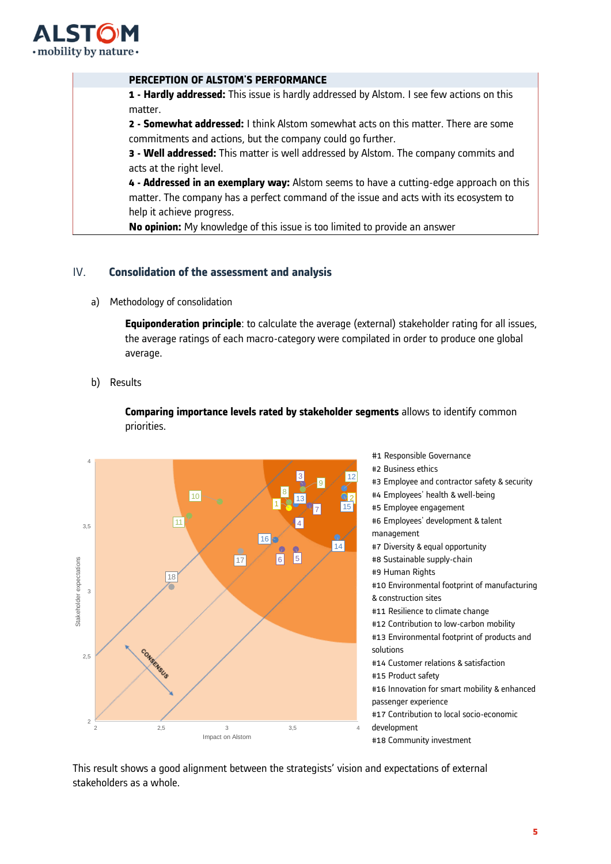

#### **PERCEPTION OF ALSTOM'S PERFORMANCE**

**1 - Hardly addressed:** This issue is hardly addressed by Alstom. I see few actions on this matter.

**2 - Somewhat addressed:** I think Alstom somewhat acts on this matter. There are some commitments and actions, but the company could go further.

**3 - Well addressed:** This matter is well addressed by Alstom. The company commits and acts at the right level.

**4 - Addressed in an exemplary way:** Alstom seems to have a cutting-edge approach on this matter. The company has a perfect command of the issue and acts with its ecosystem to help it achieve progress.

**No opinion:** My knowledge of this issue is too limited to provide an answer

### IV. **Consolidation of the assessment and analysis**

a) Methodology of consolidation

**Equiponderation principle**: to calculate the average (external) stakeholder rating for all issues, the average ratings of each macro-category were compilated in order to produce one global average.

### b) Results

**Comparing importance levels rated by stakeholder segments** allows to identify common priorities.



This result shows a good alignment between the strategists' vision and expectations of external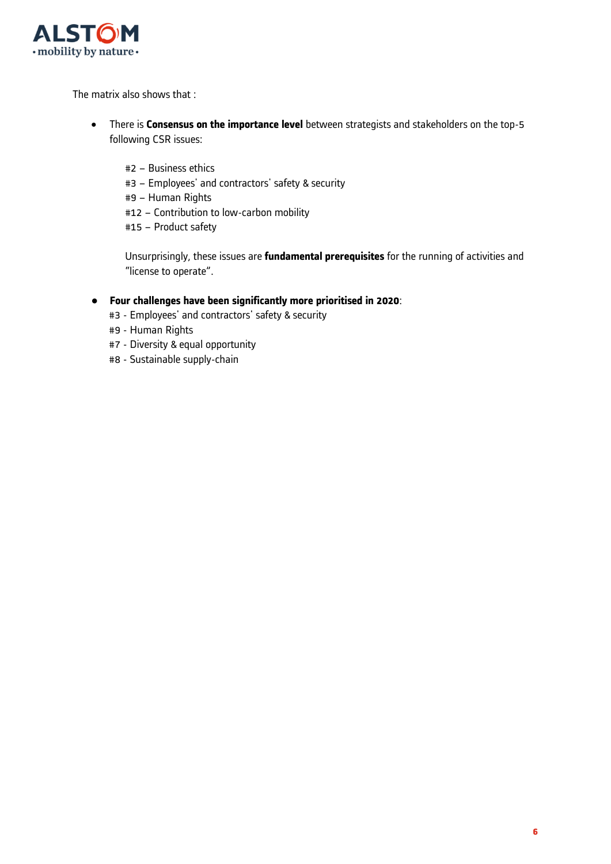

The matrix also shows that :

- There is **Consensus on the importance level** between strategists and stakeholders on the top-5 following CSR issues:
	- #2 Business ethics
	- #3 Employees' and contractors' safety & security
	- #9 Human Rights
	- #12 Contribution to low-carbon mobility
	- #15 Product safety

Unsurprisingly, these issues are **fundamental prerequisites** for the running of activities and "license to operate".

### ● **Four challenges have been significantly more prioritised in 2020**:

- #3 Employees' and contractors' safety & security
- #9 Human Rights
- #7 Diversity & equal opportunity
- #8 Sustainable supply-chain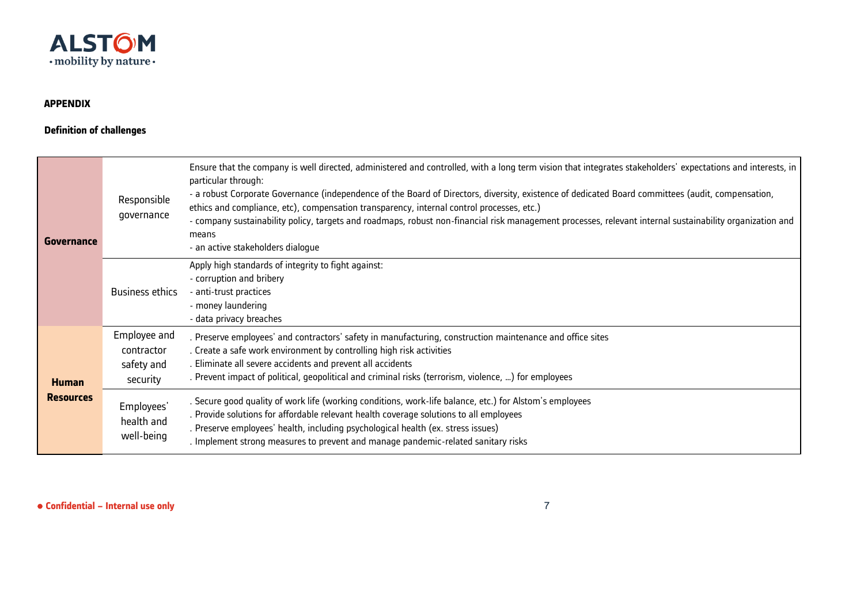

## **APPENDIX**

## **Definition of challenges**

| Governance                       | Responsible<br>governance                            | Ensure that the company is well directed, administered and controlled, with a long term vision that integrates stakeholders' expectations and interests, in<br>particular through:<br>- a robust Corporate Governance (independence of the Board of Directors, diversity, existence of dedicated Board committees (audit, compensation,<br>ethics and compliance, etc), compensation transparency, internal control processes, etc.)<br>- company sustainability policy, targets and roadmaps, robust non-financial risk management processes, relevant internal sustainability organization and<br>means<br>- an active stakeholders dialogue |
|----------------------------------|------------------------------------------------------|------------------------------------------------------------------------------------------------------------------------------------------------------------------------------------------------------------------------------------------------------------------------------------------------------------------------------------------------------------------------------------------------------------------------------------------------------------------------------------------------------------------------------------------------------------------------------------------------------------------------------------------------|
|                                  | <b>Business ethics</b>                               | Apply high standards of integrity to fight against:<br>- corruption and bribery<br>- anti-trust practices<br>- money laundering<br>- data privacy breaches                                                                                                                                                                                                                                                                                                                                                                                                                                                                                     |
| <b>Human</b><br><b>Resources</b> | Employee and<br>contractor<br>safety and<br>security | . Preserve employees' and contractors' safety in manufacturing, construction maintenance and office sites<br>. Create a safe work environment by controlling high risk activities<br>. Eliminate all severe accidents and prevent all accidents<br>. Prevent impact of political, geopolitical and criminal risks (terrorism, violence, ) for employees                                                                                                                                                                                                                                                                                        |
|                                  | Employees'<br>health and<br>well-being               | . Secure good quality of work life (working conditions, work-life balance, etc.) for Alstom's employees<br>. Provide solutions for affordable relevant health coverage solutions to all employees<br>. Preserve employees' health, including psychological health (ex. stress issues)<br>. Implement strong measures to prevent and manage pandemic-related sanitary risks                                                                                                                                                                                                                                                                     |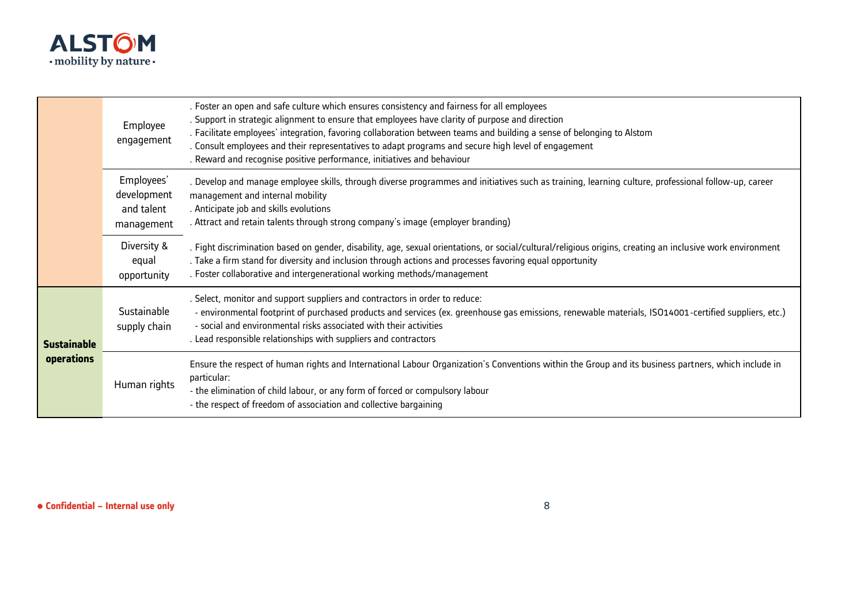

|                                  | Employee<br>engagement                                | . Foster an open and safe culture which ensures consistency and fairness for all employees<br>. Support in strategic alignment to ensure that employees have clarity of purpose and direction<br>. Facilitate employees' integration, favoring collaboration between teams and building a sense of belonging to Alstom<br>. Consult employees and their representatives to adapt programs and secure high level of engagement<br>. Reward and recognise positive performance, initiatives and behaviour |
|----------------------------------|-------------------------------------------------------|---------------------------------------------------------------------------------------------------------------------------------------------------------------------------------------------------------------------------------------------------------------------------------------------------------------------------------------------------------------------------------------------------------------------------------------------------------------------------------------------------------|
|                                  | Employees'<br>development<br>and talent<br>management | . Develop and manage employee skills, through diverse programmes and initiatives such as training, learning culture, professional follow-up, career<br>management and internal mobility<br>. Anticipate job and skills evolutions<br>. Attract and retain talents through strong company's image (employer branding)                                                                                                                                                                                    |
|                                  | Diversity &<br>equal<br>opportunity                   | . Fight discrimination based on gender, disability, age, sexual orientations, or social/cultural/religious origins, creating an inclusive work environment<br>. Take a firm stand for diversity and inclusion through actions and processes favoring equal opportunity<br>. Foster collaborative and intergenerational working methods/management                                                                                                                                                       |
| <b>Sustainable</b><br>operations | Sustainable<br>supply chain                           | . Select, monitor and support suppliers and contractors in order to reduce:<br>- environmental footprint of purchased products and services (ex. greenhouse gas emissions, renewable materials, ISO14001-certified suppliers, etc.)<br>- social and environmental risks associated with their activities<br>. Lead responsible relationships with suppliers and contractors                                                                                                                             |
|                                  | Human rights                                          | Ensure the respect of human rights and International Labour Organization's Conventions within the Group and its business partners, which include in<br>particular:<br>- the elimination of child labour, or any form of forced or compulsory labour<br>- the respect of freedom of association and collective bargaining                                                                                                                                                                                |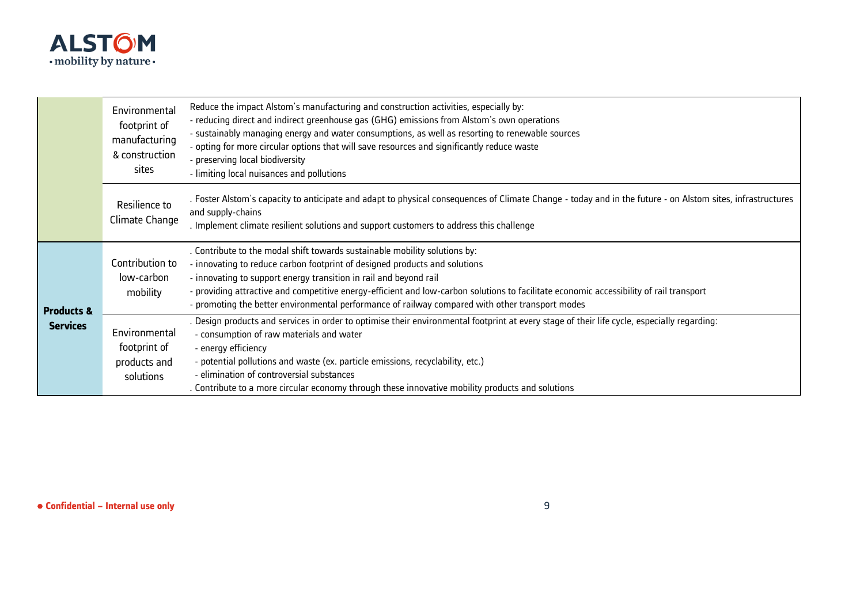

|                                          | Environmental<br>footprint of<br>manufacturing<br>& construction<br>sites | Reduce the impact Alstom's manufacturing and construction activities, especially by:<br>- reducing direct and indirect greenhouse gas (GHG) emissions from Alstom's own operations<br>- sustainably managing energy and water consumptions, as well as resorting to renewable sources<br>- opting for more circular options that will save resources and significantly reduce waste<br>- preserving local biodiversity<br>- limiting local nuisances and pollutions         |
|------------------------------------------|---------------------------------------------------------------------------|-----------------------------------------------------------------------------------------------------------------------------------------------------------------------------------------------------------------------------------------------------------------------------------------------------------------------------------------------------------------------------------------------------------------------------------------------------------------------------|
|                                          | Resilience to<br>Climate Change                                           | . Foster Alstom's capacity to anticipate and adapt to physical consequences of Climate Change - today and in the future - on Alstom sites, infrastructures<br>and supply-chains<br>. Implement climate resilient solutions and support customers to address this challenge                                                                                                                                                                                                  |
| <b>Products &amp;</b><br><b>Services</b> | Contribution to<br>low-carbon<br>mobility                                 | . Contribute to the modal shift towards sustainable mobility solutions by:<br>- innovating to reduce carbon footprint of designed products and solutions<br>- innovating to support energy transition in rail and beyond rail<br>- providing attractive and competitive energy-efficient and low-carbon solutions to facilitate economic accessibility of rail transport<br>- promoting the better environmental performance of railway compared with other transport modes |
|                                          | Environmental<br>footprint of<br>products and<br>solutions                | . Design products and services in order to optimise their environmental footprint at every stage of their life cycle, especially regarding:<br>- consumption of raw materials and water<br>- energy efficiency<br>- potential pollutions and waste (ex. particle emissions, recyclability, etc.)<br>- elimination of controversial substances<br>. Contribute to a more circular economy through these innovative mobility products and solutions                           |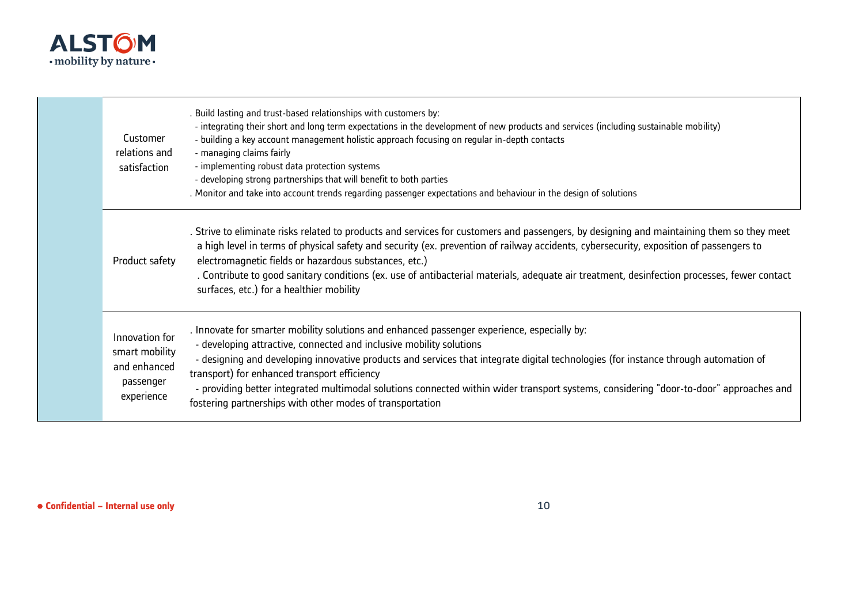

| Customer<br>relations and<br>satisfaction                                   | . Build lasting and trust-based relationships with customers by:<br>- integrating their short and long term expectations in the development of new products and services (including sustainable mobility)<br>- building a key account management holistic approach focusing on regular in-depth contacts<br>- managing claims fairly<br>- implementing robust data protection systems<br>- developing strong partnerships that will benefit to both parties<br>. Monitor and take into account trends regarding passenger expectations and behaviour in the design of solutions |
|-----------------------------------------------------------------------------|---------------------------------------------------------------------------------------------------------------------------------------------------------------------------------------------------------------------------------------------------------------------------------------------------------------------------------------------------------------------------------------------------------------------------------------------------------------------------------------------------------------------------------------------------------------------------------|
| Product safety                                                              | . Strive to eliminate risks related to products and services for customers and passengers, by designing and maintaining them so they meet<br>a high level in terms of physical safety and security (ex. prevention of railway accidents, cybersecurity, exposition of passengers to<br>electromagnetic fields or hazardous substances, etc.)<br>. Contribute to good sanitary conditions (ex. use of antibacterial materials, adequate air treatment, desinfection processes, fewer contact<br>surfaces, etc.) for a healthier mobility                                         |
| Innovation for<br>smart mobility<br>and enhanced<br>passenger<br>experience | . Innovate for smarter mobility solutions and enhanced passenger experience, especially by:<br>- developing attractive, connected and inclusive mobility solutions<br>- designing and developing innovative products and services that integrate digital technologies (for instance through automation of<br>transport) for enhanced transport efficiency<br>- providing better integrated multimodal solutions connected within wider transport systems, considering "door-to-door" approaches and<br>fostering partnerships with other modes of transportation                |